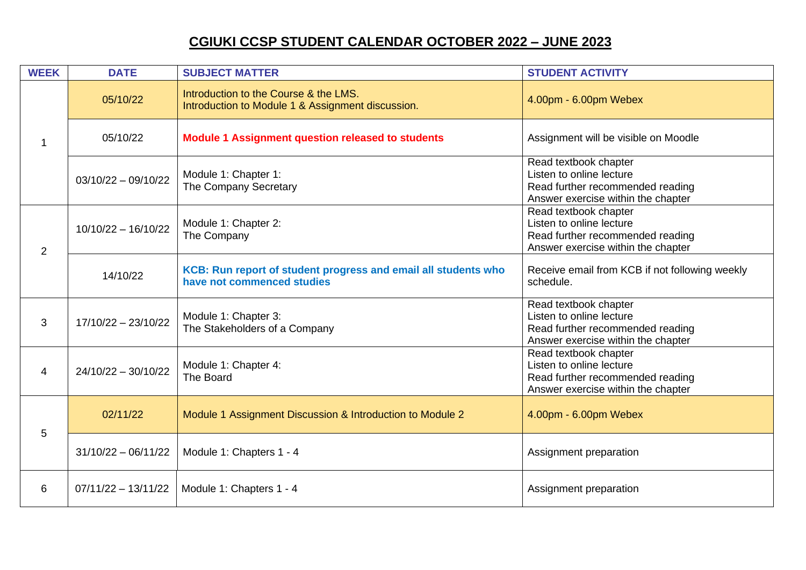| <b>WEEK</b>    | <b>DATE</b>           | <b>SUBJECT MATTER</b>                                                                        | <b>STUDENT ACTIVITY</b>                                                                                                     |
|----------------|-----------------------|----------------------------------------------------------------------------------------------|-----------------------------------------------------------------------------------------------------------------------------|
| 1              | 05/10/22              | Introduction to the Course & the LMS.<br>Introduction to Module 1 & Assignment discussion.   | 4.00pm - 6.00pm Webex                                                                                                       |
|                | 05/10/22              | <b>Module 1 Assignment question released to students</b>                                     | Assignment will be visible on Moodle                                                                                        |
|                | $03/10/22 - 09/10/22$ | Module 1: Chapter 1:<br>The Company Secretary                                                | Read textbook chapter<br>Listen to online lecture<br>Read further recommended reading<br>Answer exercise within the chapter |
| $\overline{2}$ | $10/10/22 - 16/10/22$ | Module 1: Chapter 2:<br>The Company                                                          | Read textbook chapter<br>Listen to online lecture<br>Read further recommended reading<br>Answer exercise within the chapter |
|                | 14/10/22              | KCB: Run report of student progress and email all students who<br>have not commenced studies | Receive email from KCB if not following weekly<br>schedule.                                                                 |
| 3              | $17/10/22 - 23/10/22$ | Module 1: Chapter 3:<br>The Stakeholders of a Company                                        | Read textbook chapter<br>Listen to online lecture<br>Read further recommended reading<br>Answer exercise within the chapter |
| $\overline{4}$ | $24/10/22 - 30/10/22$ | Module 1: Chapter 4:<br>The Board                                                            | Read textbook chapter<br>Listen to online lecture<br>Read further recommended reading<br>Answer exercise within the chapter |
| 5              | 02/11/22              | Module 1 Assignment Discussion & Introduction to Module 2                                    | 4.00pm - 6.00pm Webex                                                                                                       |
|                | $31/10/22 - 06/11/22$ | Module 1: Chapters 1 - 4                                                                     | Assignment preparation                                                                                                      |
| 6              | $07/11/22 - 13/11/22$ | Module 1: Chapters 1 - 4                                                                     | Assignment preparation                                                                                                      |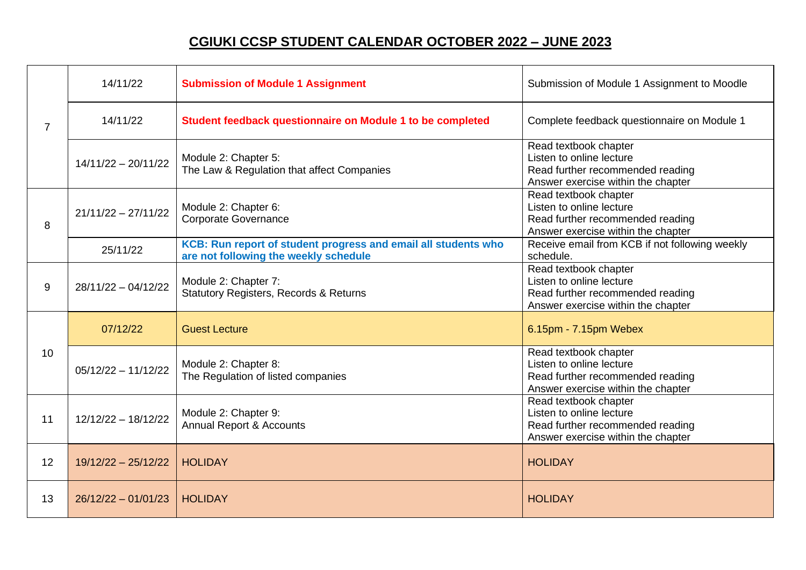| $\overline{7}$ | 14/11/22              | <b>Submission of Module 1 Assignment</b>                                                                | Submission of Module 1 Assignment to Moodle                                                                                 |
|----------------|-----------------------|---------------------------------------------------------------------------------------------------------|-----------------------------------------------------------------------------------------------------------------------------|
|                | 14/11/22              | Student feedback questionnaire on Module 1 to be completed                                              | Complete feedback questionnaire on Module 1                                                                                 |
|                | $14/11/22 - 20/11/22$ | Module 2: Chapter 5:<br>The Law & Regulation that affect Companies                                      | Read textbook chapter<br>Listen to online lecture<br>Read further recommended reading<br>Answer exercise within the chapter |
| 8              | $21/11/22 - 27/11/22$ | Module 2: Chapter 6:<br><b>Corporate Governance</b>                                                     | Read textbook chapter<br>Listen to online lecture<br>Read further recommended reading<br>Answer exercise within the chapter |
|                | 25/11/22              | KCB: Run report of student progress and email all students who<br>are not following the weekly schedule | Receive email from KCB if not following weekly<br>schedule.                                                                 |
| 9              | $28/11/22 - 04/12/22$ | Module 2: Chapter 7:<br><b>Statutory Registers, Records &amp; Returns</b>                               | Read textbook chapter<br>Listen to online lecture<br>Read further recommended reading<br>Answer exercise within the chapter |
| 10             | 07/12/22              | <b>Guest Lecture</b>                                                                                    | 6.15pm - 7.15pm Webex                                                                                                       |
|                | $05/12/22 - 11/12/22$ | Module 2: Chapter 8:<br>The Regulation of listed companies                                              | Read textbook chapter<br>Listen to online lecture<br>Read further recommended reading<br>Answer exercise within the chapter |
| 11             | $12/12/22 - 18/12/22$ | Module 2: Chapter 9:<br><b>Annual Report &amp; Accounts</b>                                             | Read textbook chapter<br>Listen to online lecture<br>Read further recommended reading<br>Answer exercise within the chapter |
| 12             | $19/12/22 - 25/12/22$ | <b>HOLIDAY</b>                                                                                          | <b>HOLIDAY</b>                                                                                                              |
| 13             | $26/12/22 - 01/01/23$ | <b>HOLIDAY</b>                                                                                          | <b>HOLIDAY</b>                                                                                                              |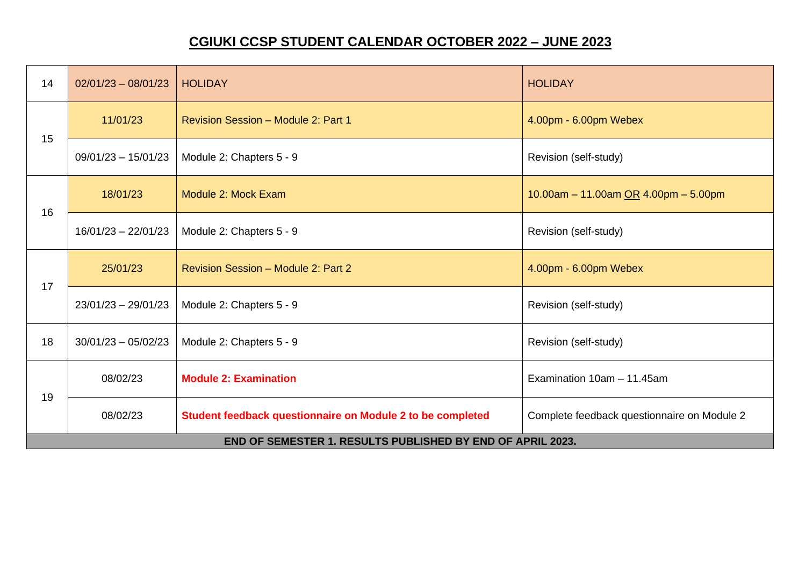| 14                                                                | $02/01/23 - 08/01/23$ | <b>HOLIDAY</b>                                             | <b>HOLIDAY</b>                              |
|-------------------------------------------------------------------|-----------------------|------------------------------------------------------------|---------------------------------------------|
| 15<br>16                                                          | 11/01/23              | Revision Session - Module 2: Part 1                        | 4.00pm - 6.00pm Webex                       |
|                                                                   | $09/01/23 - 15/01/23$ | Module 2: Chapters 5 - 9                                   | Revision (self-study)                       |
|                                                                   | 18/01/23              | Module 2: Mock Exam                                        | 10.00am - 11.00am OR 4.00pm - 5.00pm        |
|                                                                   | $16/01/23 - 22/01/23$ | Module 2: Chapters 5 - 9                                   | Revision (self-study)                       |
| 17                                                                | 25/01/23              | Revision Session - Module 2: Part 2                        | 4.00pm - 6.00pm Webex                       |
|                                                                   | $23/01/23 - 29/01/23$ | Module 2: Chapters 5 - 9                                   | Revision (self-study)                       |
| 18                                                                | $30/01/23 - 05/02/23$ | Module 2: Chapters 5 - 9                                   | Revision (self-study)                       |
| 19                                                                | 08/02/23              | <b>Module 2: Examination</b>                               | Examination 10am - 11.45am                  |
|                                                                   | 08/02/23              | Student feedback questionnaire on Module 2 to be completed | Complete feedback questionnaire on Module 2 |
| <b>END OF SEMESTER 1. RESULTS PUBLISHED BY END OF APRIL 2023.</b> |                       |                                                            |                                             |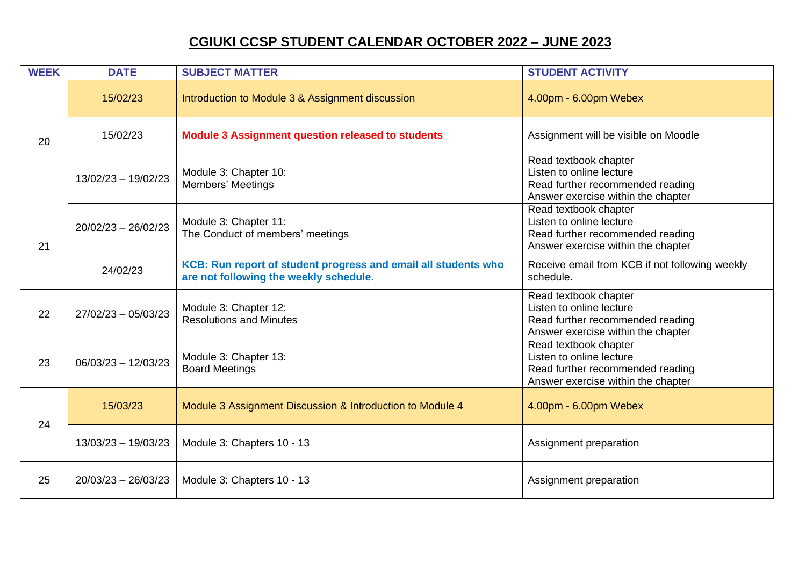| <b>WEEK</b> | <b>DATE</b>           | <b>SUBJECT MATTER</b>                                                                                    | <b>STUDENT ACTIVITY</b>                                                                                                     |
|-------------|-----------------------|----------------------------------------------------------------------------------------------------------|-----------------------------------------------------------------------------------------------------------------------------|
| 20          | 15/02/23              | Introduction to Module 3 & Assignment discussion                                                         | 4.00pm - 6.00pm Webex                                                                                                       |
|             | 15/02/23              | <b>Module 3 Assignment question released to students</b>                                                 | Assignment will be visible on Moodle                                                                                        |
|             | $13/02/23 - 19/02/23$ | Module 3: Chapter 10:<br>Members' Meetings                                                               | Read textbook chapter<br>Listen to online lecture<br>Read further recommended reading<br>Answer exercise within the chapter |
| 21          | $20/02/23 - 26/02/23$ | Module 3: Chapter 11:<br>The Conduct of members' meetings                                                | Read textbook chapter<br>Listen to online lecture<br>Read further recommended reading<br>Answer exercise within the chapter |
|             | 24/02/23              | KCB: Run report of student progress and email all students who<br>are not following the weekly schedule. | Receive email from KCB if not following weekly<br>schedule.                                                                 |
| 22          | $27/02/23 - 05/03/23$ | Module 3: Chapter 12:<br><b>Resolutions and Minutes</b>                                                  | Read textbook chapter<br>Listen to online lecture<br>Read further recommended reading<br>Answer exercise within the chapter |
| 23          | $06/03/23 - 12/03/23$ | Module 3: Chapter 13:<br><b>Board Meetings</b>                                                           | Read textbook chapter<br>Listen to online lecture<br>Read further recommended reading<br>Answer exercise within the chapter |
| 24          | 15/03/23              | Module 3 Assignment Discussion & Introduction to Module 4                                                | 4.00pm - 6.00pm Webex                                                                                                       |
|             | $13/03/23 - 19/03/23$ | Module 3: Chapters 10 - 13                                                                               | Assignment preparation                                                                                                      |
| 25          | $20/03/23 - 26/03/23$ | Module 3: Chapters 10 - 13                                                                               | Assignment preparation                                                                                                      |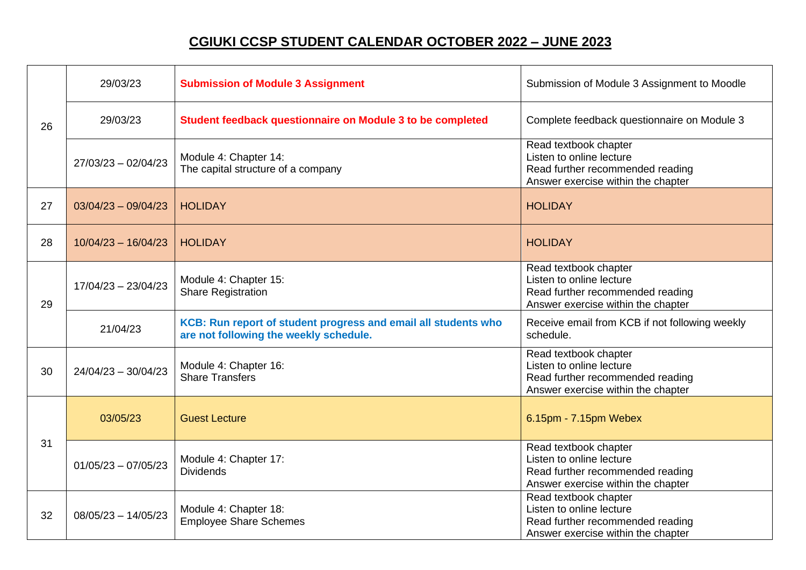| 26 | 29/03/23              | <b>Submission of Module 3 Assignment</b>                                                                 | Submission of Module 3 Assignment to Moodle                                                                                 |
|----|-----------------------|----------------------------------------------------------------------------------------------------------|-----------------------------------------------------------------------------------------------------------------------------|
|    | 29/03/23              | Student feedback questionnaire on Module 3 to be completed                                               | Complete feedback questionnaire on Module 3                                                                                 |
|    | $27/03/23 - 02/04/23$ | Module 4: Chapter 14:<br>The capital structure of a company                                              | Read textbook chapter<br>Listen to online lecture<br>Read further recommended reading<br>Answer exercise within the chapter |
| 27 | $03/04/23 - 09/04/23$ | <b>HOLIDAY</b>                                                                                           | <b>HOLIDAY</b>                                                                                                              |
| 28 | $10/04/23 - 16/04/23$ | <b>HOLIDAY</b>                                                                                           | <b>HOLIDAY</b>                                                                                                              |
| 29 | $17/04/23 - 23/04/23$ | Module 4: Chapter 15:<br><b>Share Registration</b>                                                       | Read textbook chapter<br>Listen to online lecture<br>Read further recommended reading<br>Answer exercise within the chapter |
|    | 21/04/23              | KCB: Run report of student progress and email all students who<br>are not following the weekly schedule. | Receive email from KCB if not following weekly<br>schedule.                                                                 |
| 30 | $24/04/23 - 30/04/23$ | Module 4: Chapter 16:<br><b>Share Transfers</b>                                                          | Read textbook chapter<br>Listen to online lecture<br>Read further recommended reading<br>Answer exercise within the chapter |
| 31 | 03/05/23              | <b>Guest Lecture</b>                                                                                     | 6.15pm - 7.15pm Webex                                                                                                       |
|    | $01/05/23 - 07/05/23$ | Module 4: Chapter 17:<br><b>Dividends</b>                                                                | Read textbook chapter<br>Listen to online lecture<br>Read further recommended reading<br>Answer exercise within the chapter |
| 32 | $08/05/23 - 14/05/23$ | Module 4: Chapter 18:<br><b>Employee Share Schemes</b>                                                   | Read textbook chapter<br>Listen to online lecture<br>Read further recommended reading<br>Answer exercise within the chapter |